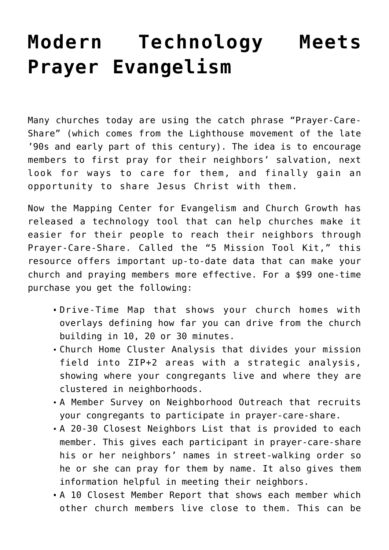## **[Modern Technology Meets](https://www.prayerleader.com/modern-technology-meets-prayer-evangelism/) [Prayer Evangelism](https://www.prayerleader.com/modern-technology-meets-prayer-evangelism/)**

Many churches today are using the catch phrase "Prayer-Care-Share" (which comes from the Lighthouse movement of the late '90s and early part of this century). The idea is to encourage members to first pray for their neighbors' salvation, next look for ways to care for them, and finally gain an opportunity to share Jesus Christ with them.

Now the Mapping Center for Evangelism and Church Growth has released a technology tool that can help churches make it easier for their people to reach their neighbors through Prayer-Care-Share. Called the "5 Mission Tool Kit," this resource offers important up-to-date data that can make your church and praying members more effective. For a \$99 one-time purchase you get the following:

- Drive-Time Map that shows your church homes with overlays defining how far you can drive from the church building in 10, 20 or 30 minutes.
- Church Home Cluster Analysis that divides your mission field into ZIP+2 areas with a strategic analysis, showing where your congregants live and where they are clustered in neighborhoods.
- A Member Survey on Neighborhood Outreach that recruits your congregants to participate in prayer-care-share.
- A 20-30 Closest Neighbors List that is provided to each member. This gives each participant in prayer-care-share his or her neighbors' names in street-walking order so he or she can pray for them by name. It also gives them information helpful in meeting their neighbors.
- A 10 Closest Member Report that shows each member which other church members live close to them. This can be